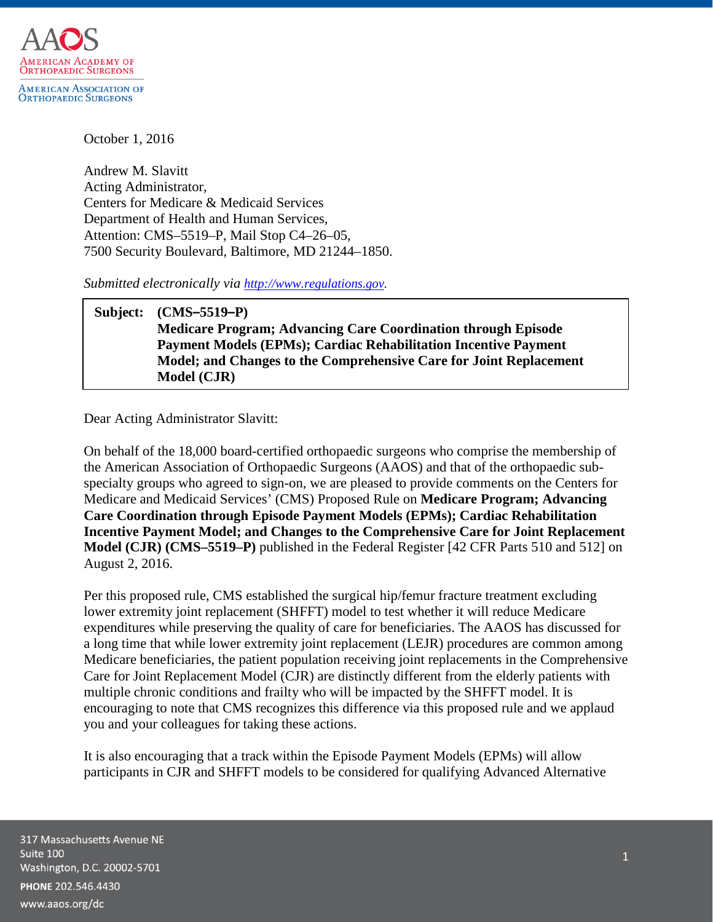

October 1, 2016

Andrew M. Slavitt Acting Administrator, Centers for Medicare & Medicaid Services Department of Health and Human Services, Attention: CMS–5519–P, Mail Stop C4–26–05, 7500 Security Boulevard, Baltimore, MD 21244–1850.

*Submitted electronically via [http://www.regulations.gov.](http://www.regulations.gov/)*

**Subject: (CMS–5519–P) Medicare Program; Advancing Care Coordination through Episode Payment Models (EPMs); Cardiac Rehabilitation Incentive Payment Model; and Changes to the Comprehensive Care for Joint Replacement Model (CJR)**

Dear Acting Administrator Slavitt:

On behalf of the 18,000 board-certified orthopaedic surgeons who comprise the membership of the American Association of Orthopaedic Surgeons (AAOS) and that of the orthopaedic subspecialty groups who agreed to sign-on, we are pleased to provide comments on the Centers for Medicare and Medicaid Services' (CMS) Proposed Rule on **Medicare Program; Advancing Care Coordination through Episode Payment Models (EPMs); Cardiac Rehabilitation Incentive Payment Model; and Changes to the Comprehensive Care for Joint Replacement Model (CJR) (CMS–5519–P)** published in the Federal Register [42 CFR Parts 510 and 512] on August 2, 2016.

Per this proposed rule, CMS established the surgical hip/femur fracture treatment excluding lower extremity joint replacement (SHFFT) model to test whether it will reduce Medicare expenditures while preserving the quality of care for beneficiaries. The AAOS has discussed for a long time that while lower extremity joint replacement (LEJR) procedures are common among Medicare beneficiaries, the patient population receiving joint replacements in the Comprehensive Care for Joint Replacement Model (CJR) are distinctly different from the elderly patients with multiple chronic conditions and frailty who will be impacted by the SHFFT model. It is encouraging to note that CMS recognizes this difference via this proposed rule and we applaud you and your colleagues for taking these actions.

It is also encouraging that a track within the Episode Payment Models (EPMs) will allow participants in CJR and SHFFT models to be considered for qualifying Advanced Alternative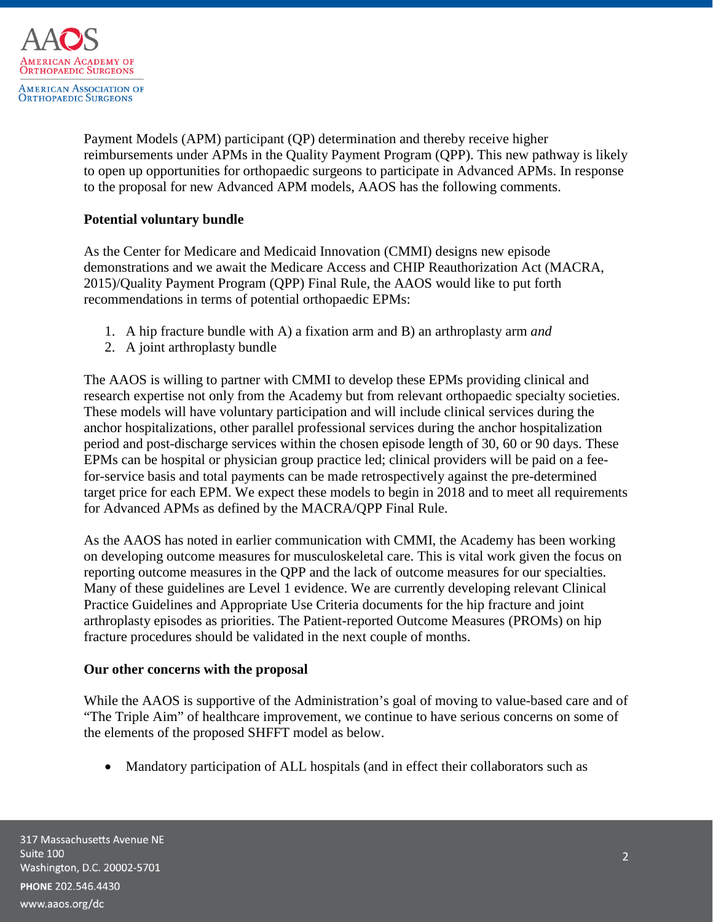

Payment Models (APM) participant (QP) determination and thereby receive higher reimbursements under APMs in the Quality Payment Program (QPP). This new pathway is likely to open up opportunities for orthopaedic surgeons to participate in Advanced APMs. In response to the proposal for new Advanced APM models, AAOS has the following comments.

# **Potential voluntary bundle**

As the Center for Medicare and Medicaid Innovation (CMMI) designs new episode demonstrations and we await the Medicare Access and CHIP Reauthorization Act (MACRA, 2015)/Quality Payment Program (QPP) Final Rule, the AAOS would like to put forth recommendations in terms of potential orthopaedic EPMs:

- 1. A hip fracture bundle with A) a fixation arm and B) an arthroplasty arm *and*
- 2. A joint arthroplasty bundle

The AAOS is willing to partner with CMMI to develop these EPMs providing clinical and research expertise not only from the Academy but from relevant orthopaedic specialty societies. These models will have voluntary participation and will include clinical services during the anchor hospitalizations, other parallel professional services during the anchor hospitalization period and post-discharge services within the chosen episode length of 30, 60 or 90 days. These EPMs can be hospital or physician group practice led; clinical providers will be paid on a feefor-service basis and total payments can be made retrospectively against the pre-determined target price for each EPM. We expect these models to begin in 2018 and to meet all requirements for Advanced APMs as defined by the MACRA/QPP Final Rule.

As the AAOS has noted in earlier communication with CMMI, the Academy has been working on developing outcome measures for musculoskeletal care. This is vital work given the focus on reporting outcome measures in the QPP and the lack of outcome measures for our specialties. Many of these guidelines are Level 1 evidence. We are currently developing relevant Clinical Practice Guidelines and Appropriate Use Criteria documents for the hip fracture and joint arthroplasty episodes as priorities. The Patient-reported Outcome Measures (PROMs) on hip fracture procedures should be validated in the next couple of months.

### **Our other concerns with the proposal**

While the AAOS is supportive of the Administration's goal of moving to value-based care and of "The Triple Aim" of healthcare improvement, we continue to have serious concerns on some of the elements of the proposed SHFFT model as below.

• Mandatory participation of ALL hospitals (and in effect their collaborators such as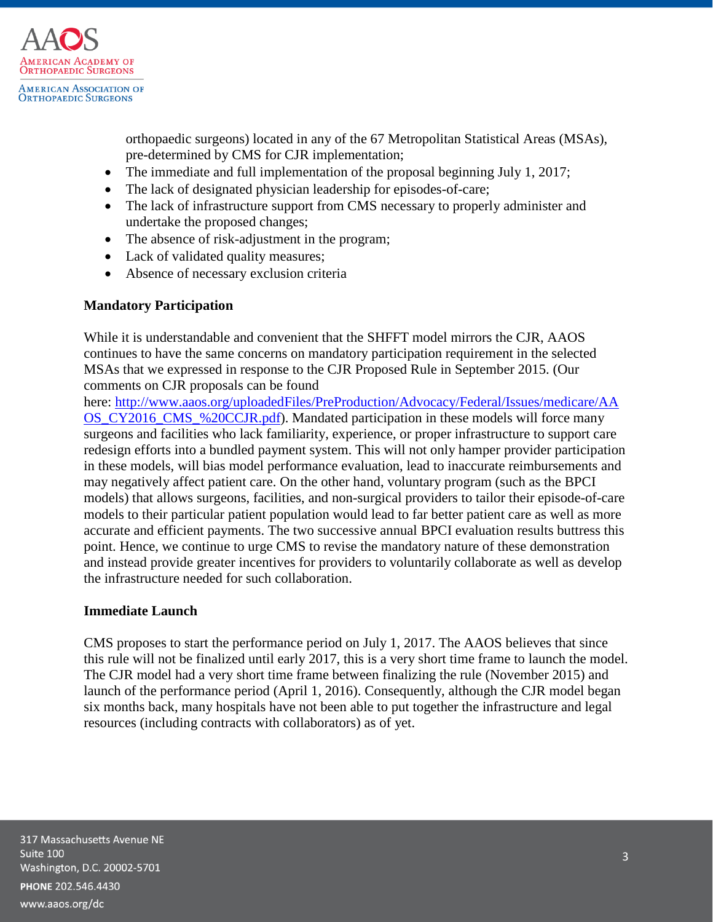

orthopaedic surgeons) located in any of the 67 Metropolitan Statistical Areas (MSAs), pre-determined by CMS for CJR implementation;

- The immediate and full implementation of the proposal beginning July 1, 2017;
- The lack of designated physician leadership for episodes-of-care;
- The lack of infrastructure support from CMS necessary to properly administer and undertake the proposed changes;
- The absence of risk-adjustment in the program;
- Lack of validated quality measures;
- Absence of necessary exclusion criteria

### **Mandatory Participation**

While it is understandable and convenient that the SHFFT model mirrors the CJR, AAOS continues to have the same concerns on mandatory participation requirement in the selected MSAs that we expressed in response to the CJR Proposed Rule in September 2015. (Our comments on CJR proposals can be found

here: [http://www.aaos.org/uploadedFiles/PreProduction/Advocacy/Federal/Issues/medicare/AA](http://www.aaos.org/uploadedFiles/PreProduction/Advocacy/Federal/Issues/medicare/AAOS_CY2016_CMS_%20CCJR.pdf) OS CY2016 CMS %20CCJR.pdf). Mandated participation in these models will force many surgeons and facilities who lack familiarity, experience, or proper infrastructure to support care redesign efforts into a bundled payment system. This will not only hamper provider participation in these models, will bias model performance evaluation, lead to inaccurate reimbursements and may negatively affect patient care. On the other hand, voluntary program (such as the BPCI models) that allows surgeons, facilities, and non-surgical providers to tailor their episode-of-care models to their particular patient population would lead to far better patient care as well as more accurate and efficient payments. The two successive annual BPCI evaluation results buttress this point. Hence, we continue to urge CMS to revise the mandatory nature of these demonstration and instead provide greater incentives for providers to voluntarily collaborate as well as develop the infrastructure needed for such collaboration.

### **Immediate Launch**

CMS proposes to start the performance period on July 1, 2017. The AAOS believes that since this rule will not be finalized until early 2017, this is a very short time frame to launch the model. The CJR model had a very short time frame between finalizing the rule (November 2015) and launch of the performance period (April 1, 2016). Consequently, although the CJR model began six months back, many hospitals have not been able to put together the infrastructure and legal resources (including contracts with collaborators) as of yet.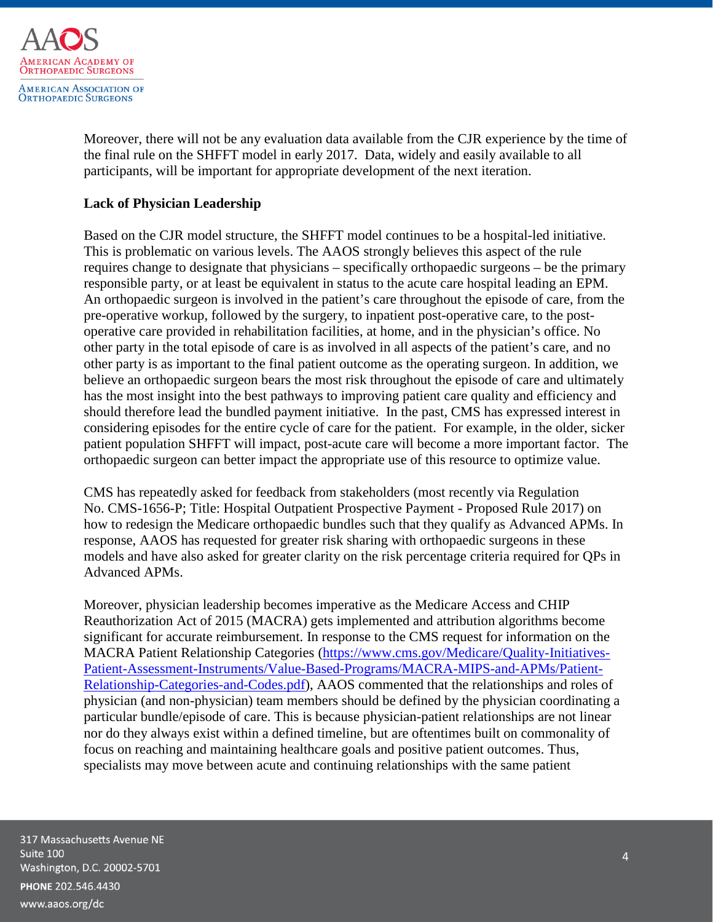

Moreover, there will not be any evaluation data available from the CJR experience by the time of the final rule on the SHFFT model in early 2017. Data, widely and easily available to all participants, will be important for appropriate development of the next iteration.

## **Lack of Physician Leadership**

Based on the CJR model structure, the SHFFT model continues to be a hospital-led initiative. This is problematic on various levels. The AAOS strongly believes this aspect of the rule requires change to designate that physicians – specifically orthopaedic surgeons – be the primary responsible party, or at least be equivalent in status to the acute care hospital leading an EPM. An orthopaedic surgeon is involved in the patient's care throughout the episode of care, from the pre-operative workup, followed by the surgery, to inpatient post-operative care, to the postoperative care provided in rehabilitation facilities, at home, and in the physician's office. No other party in the total episode of care is as involved in all aspects of the patient's care, and no other party is as important to the final patient outcome as the operating surgeon. In addition, we believe an orthopaedic surgeon bears the most risk throughout the episode of care and ultimately has the most insight into the best pathways to improving patient care quality and efficiency and should therefore lead the bundled payment initiative. In the past, CMS has expressed interest in considering episodes for the entire cycle of care for the patient. For example, in the older, sicker patient population SHFFT will impact, post-acute care will become a more important factor. The orthopaedic surgeon can better impact the appropriate use of this resource to optimize value.

CMS has repeatedly asked for feedback from stakeholders (most recently via Regulation No. CMS-1656-P; Title: Hospital Outpatient Prospective Payment - Proposed Rule 2017) on how to redesign the Medicare orthopaedic bundles such that they qualify as Advanced APMs. In response, AAOS has requested for greater risk sharing with orthopaedic surgeons in these models and have also asked for greater clarity on the risk percentage criteria required for QPs in Advanced APMs.

Moreover, physician leadership becomes imperative as the Medicare Access and CHIP Reauthorization Act of 2015 (MACRA) gets implemented and attribution algorithms become significant for accurate reimbursement. In response to the CMS request for information on the MACRA Patient Relationship Categories [\(https://www.cms.gov/Medicare/Quality-Initiatives-](https://www.cms.gov/Medicare/Quality-Initiatives-Patient-Assessment-Instruments/Value-Based-Programs/MACRA-MIPS-and-APMs/Patient-Relationship-Categories-and-Codes.pdf)[Patient-Assessment-Instruments/Value-Based-Programs/MACRA-MIPS-and-APMs/Patient-](https://www.cms.gov/Medicare/Quality-Initiatives-Patient-Assessment-Instruments/Value-Based-Programs/MACRA-MIPS-and-APMs/Patient-Relationship-Categories-and-Codes.pdf)[Relationship-Categories-and-Codes.pdf\)](https://www.cms.gov/Medicare/Quality-Initiatives-Patient-Assessment-Instruments/Value-Based-Programs/MACRA-MIPS-and-APMs/Patient-Relationship-Categories-and-Codes.pdf), AAOS commented that the relationships and roles of physician (and non-physician) team members should be defined by the physician coordinating a particular bundle/episode of care. This is because physician-patient relationships are not linear nor do they always exist within a defined timeline, but are oftentimes built on commonality of focus on reaching and maintaining healthcare goals and positive patient outcomes. Thus, specialists may move between acute and continuing relationships with the same patient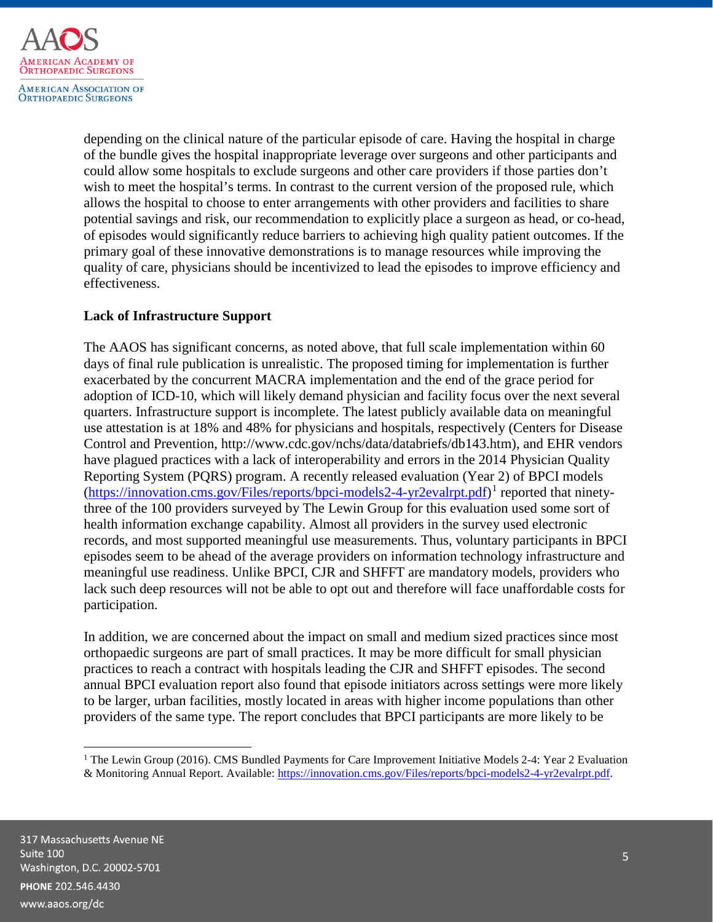

depending on the clinical nature of the particular episode of care. Having the hospital in charge of the bundle gives the hospital inappropriate leverage over surgeons and other participants and could allow some hospitals to exclude surgeons and other care providers if those parties don't wish to meet the hospital's terms. In contrast to the current version of the proposed rule, which allows the hospital to choose to enter arrangements with other providers and facilities to share potential savings and risk, our recommendation to explicitly place a surgeon as head, or co-head, of episodes would significantly reduce barriers to achieving high quality patient outcomes. If the primary goal of these innovative demonstrations is to manage resources while improving the quality of care, physicians should be incentivized to lead the episodes to improve efficiency and effectiveness.

# **Lack of Infrastructure Support**

<span id="page-4-1"></span>The AAOS has significant concerns, as noted above, that full scale implementation within 60 days of final rule publication is unrealistic. The proposed timing for implementation is further exacerbated by the concurrent MACRA implementation and the end of the grace period for adoption of ICD-10, which will likely demand physician and facility focus over the next several quarters. Infrastructure support is incomplete. The latest publicly available data on meaningful use attestation is at 18% and 48% for physicians and hospitals, respectively (Centers for Disease Control and Prevention, http://www.cdc.gov/nchs/data/databriefs/db143.htm), and EHR vendors have plagued practices with a lack of interoperability and errors in the 2014 Physician Quality Reporting System (PQRS) program. A recently released evaluation (Year 2) of BPCI models [\(https://innovation.cms.gov/Files/reports/bpci-models2-4-yr2evalrpt.pdf\)](https://innovation.cms.gov/Files/reports/bpci-models2-4-yr2evalrpt.pdf)<sup>[1](#page-4-0)</sup> reported that ninetythree of the 100 providers surveyed by The Lewin Group for this evaluation used some sort of health information exchange capability. Almost all providers in the survey used electronic records, and most supported meaningful use measurements. Thus, voluntary participants in BPCI episodes seem to be ahead of the average providers on information technology infrastructure and meaningful use readiness. Unlike BPCI, CJR and SHFFT are mandatory models, providers who lack such deep resources will not be able to opt out and therefore will face unaffordable costs for participation.

In addition, we are concerned about the impact on small and medium sized practices since most orthopaedic surgeons are part of small practices. It may be more difficult for small physician practices to reach a contract with hospitals leading the CJR and SHFFT episodes. The second annual BPCI evaluation report also found that episode initiators across settings were more likely to be larger, urban facilities, mostly located in areas with higher income populations than other providers of the same type. The report concludes that BPCI participants are more likely to be

 $\overline{\phantom{a}}$ 

<span id="page-4-0"></span><sup>&</sup>lt;sup>1</sup> The Lewin Group (2016). CMS Bundled Payments for Care Improvement Initiative Models 2-4: Year 2 Evaluation & Monitoring Annual Report. Available[: https://innovation.cms.gov/Files/reports/bpci-models2-4-yr2evalrpt.pdf.](https://innovation.cms.gov/Files/reports/bpci-models2-4-yr2evalrpt.pdf)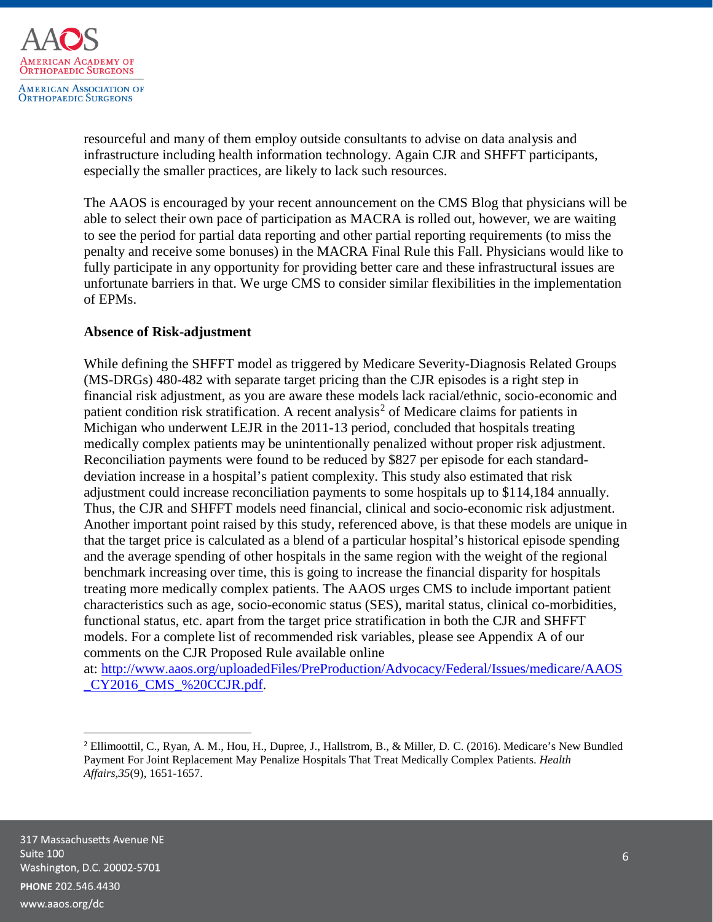

resourceful and many of them employ outside consultants to advise on data analysis and infrastructure including health information technology. Again CJR and SHFFT participants, especially the smaller practices, are likely to lack such resources.

The AAOS is encouraged by your recent announcement on the CMS Blog that physicians will be able to select their own pace of participation as MACRA is rolled out, however, we are waiting to see the period for partial data reporting and other partial reporting requirements (to miss the penalty and receive some bonuses) in the MACRA Final Rule this Fall. Physicians would like to fully participate in any opportunity for providing better care and these infrastructural issues are unfortunate barriers in that. We urge CMS to consider similar flexibilities in the implementation of EPMs.

### **Absence of Risk-adjustment**

<span id="page-5-1"></span>While defining the SHFFT model as triggered by Medicare Severity-Diagnosis Related Groups (MS-DRGs) 480-482 with separate target pricing than the CJR episodes is a right step in financial risk adjustment, as you are aware these models lack racial/ethnic, socio-economic and patient condition risk stratification. A recent analysis<sup>[2](#page-5-0)</sup> of Medicare claims for patients in Michigan who underwent LEJR in the 2011-13 period, concluded that hospitals treating medically complex patients may be unintentionally penalized without proper risk adjustment. Reconciliation payments were found to be reduced by \$827 per episode for each standarddeviation increase in a hospital's patient complexity. This study also estimated that risk adjustment could increase reconciliation payments to some hospitals up to \$114,184 annually. Thus, the CJR and SHFFT models need financial, clinical and socio-economic risk adjustment. Another important point raised by this study, referenced above, is that these models are unique in that the target price is calculated as a blend of a particular hospital's historical episode spending and the average spending of other hospitals in the same region with the weight of the regional benchmark increasing over time, this is going to increase the financial disparity for hospitals treating more medically complex patients. The AAOS urges CMS to include important patient characteristics such as age, socio-economic status (SES), marital status, clinical co-morbidities, functional status, etc. apart from the target price stratification in both the CJR and SHFFT models. For a complete list of recommended risk variables, please see Appendix A of our comments on the CJR Proposed Rule available online

at: [http://www.aaos.org/uploadedFiles/PreProduction/Advocacy/Federal/Issues/medicare/AAOS](http://www.aaos.org/uploadedFiles/PreProduction/Advocacy/Federal/Issues/medicare/AAOS_CY2016_CMS_%20CCJR.pdf) [\\_CY2016\\_CMS\\_%20CCJR.pdf.](http://www.aaos.org/uploadedFiles/PreProduction/Advocacy/Federal/Issues/medicare/AAOS_CY2016_CMS_%20CCJR.pdf)

<span id="page-5-0"></span> <sup>2</sup> Ellimoottil, C., Ryan, A. M., Hou, H., Dupree, J., Hallstrom, B., & Miller, D. C. (2016). Medicare's New Bundled Payment For Joint Replacement May Penalize Hospitals That Treat Medically Complex Patients. *Health Affairs*,*35*(9), 1651-1657.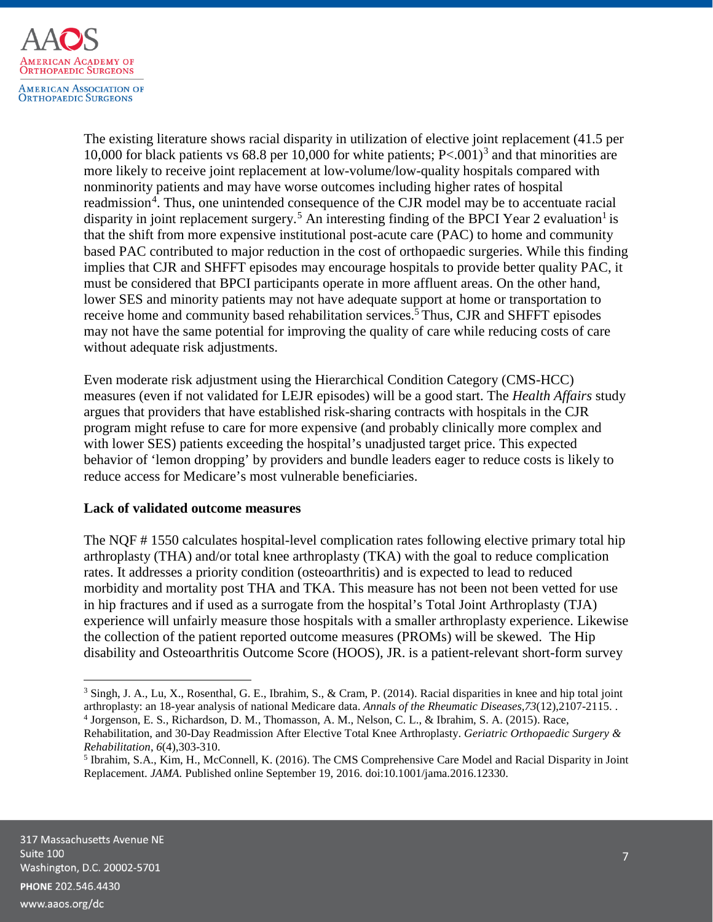

<span id="page-6-0"></span>The existing literature shows racial disparity in utilization of elective joint replacement (41.5 per 10,000 for black patients vs 68.8 per 10,000 for white patients;  $P < 0.01$ <sup>[3](#page-6-1)</sup> and that minorities are more likely to receive joint replacement at low-volume/low-quality hospitals compared with nonminority patients and may have worse outcomes including higher rates of hospital readmission<sup>[4](#page-6-2)</sup>. Thus, one unintended consequence of the CJR model may be to accentuate racial disparity in joint replacement surgery.<sup>[5](#page-6-3)</sup> An interesting finding of the BPCI Year 2 evaluation<sup>1</sup> is that the shift from more expensive institutional post-acute care (PAC) to home and community based PAC contributed to major reduction in the cost of orthopaedic surgeries. While this finding implies that CJR and SHFFT episodes may encourage hospitals to provide better quality PAC, it must be considered that BPCI participants operate in more affluent areas. On the other hand, lower SES and minority patients may not have adequate support at home or transportation to receive home and community based rehabilitation services.<sup>[5](#page-6-0)</sup> Thus, CJR and SHFFT episodes may not have the same potential for improving the quality of care while reducing costs of care without adequate risk adjustments.

Even moderate risk adjustment using the Hierarchical Condition Category (CMS-HCC) measures (even if not validated for LEJR episodes) will be a good start. The *Health Affairs* stud[y](#page-5-1) argues that providers that have established risk-sharing contracts with hospitals in the CJR program might refuse to care for more expensive (and probably clinically more complex and with lower SES) patients exceeding the hospital's unadjusted target price. This expected behavior of 'lemon dropping' by providers and bundle leaders eager to reduce costs is likely to reduce access for Medicare's most vulnerable beneficiaries.

### **Lack of validated outcome measures**

The NQF # 1550 calculates hospital-level complication rates following elective primary total hip arthroplasty (THA) and/or total knee arthroplasty (TKA) with the goal to reduce complication rates. It addresses a priority condition (osteoarthritis) and is expected to lead to reduced morbidity and mortality post THA and TKA. This measure has not been not been vetted for use in hip fractures and if used as a surrogate from the hospital's Total Joint Arthroplasty (TJA) experience will unfairly measure those hospitals with a smaller arthroplasty experience. Likewise the collection of the patient reported outcome measures (PROMs) will be skewed. The Hip disability and Osteoarthritis Outcome Score (HOOS), JR. is a patient-relevant short-form survey

l

<span id="page-6-1"></span><sup>&</sup>lt;sup>3</sup> Singh, J. A., Lu, X., Rosenthal, G. E., Ibrahim, S., & Cram, P. (2014). Racial disparities in knee and hip total joint arthroplasty: an 18-year analysis of national Medicare data. *Annals of the Rheumatic Diseases*,*73*(12),2107-2115. .

<sup>4</sup> Jorgenson, E. S., Richardson, D. M., Thomasson, A. M., Nelson, C. L., & Ibrahim, S. A. (2015). Race,

<span id="page-6-2"></span>Rehabilitation, and 30-Day Readmission After Elective Total Knee Arthroplasty. *Geriatric Orthopaedic Surgery & Rehabilitation*, *6*(4),303-310.

<span id="page-6-3"></span><sup>5</sup> Ibrahim, S.A., Kim, H., McConnell, K. (2016). The CMS Comprehensive Care Model and Racial Disparity in Joint Replacement. *JAMA.* Published online September 19, 2016. doi:10.1001/jama.2016.12330.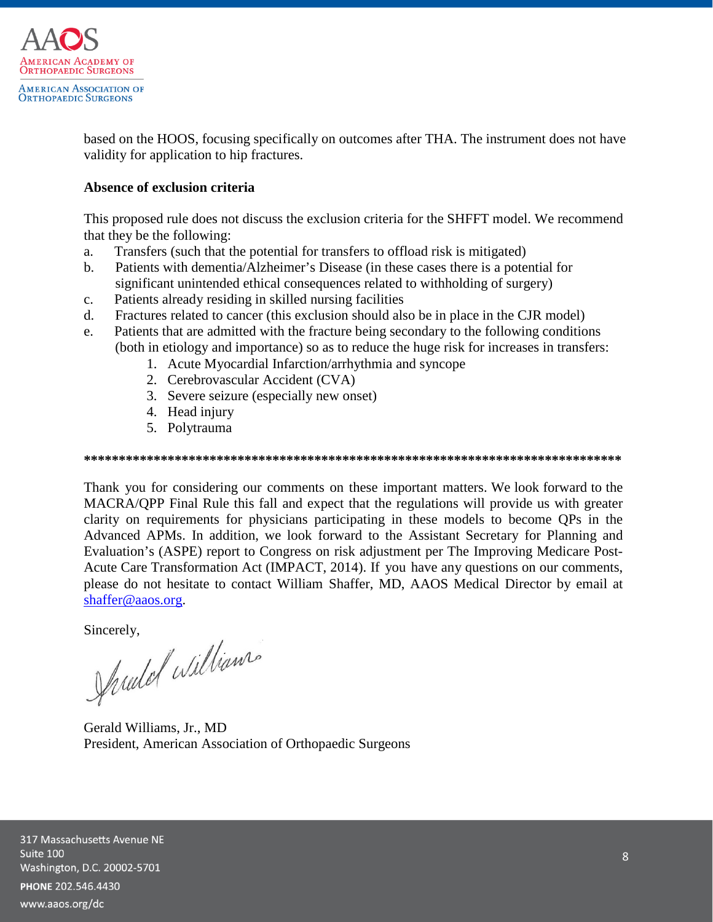

based on the HOOS, focusing specifically on outcomes after THA. The instrument does not have validity for application to hip fractures.

## **Absence of exclusion criteria**

This proposed rule does not discuss the exclusion criteria for the SHFFT model. We recommend that they be the following:

- a. Transfers (such that the potential for transfers to offload risk is mitigated)
- b. Patients with dementia/Alzheimer's Disease (in these cases there is a potential for significant unintended ethical consequences related to withholding of surgery)
- c. Patients already residing in skilled nursing facilities
- d. Fractures related to cancer (this exclusion should also be in place in the CJR model)
- e. Patients that are admitted with the fracture being secondary to the following conditions (both in etiology and importance) so as to reduce the huge risk for increases in transfers:
	- 1. Acute Myocardial Infarction/arrhythmia and syncope
	- 2. Cerebrovascular Accident (CVA)
	- 3. Severe seizure (especially new onset)
	- 4. Head injury
	- 5. Polytrauma

#### **\*\*\*\*\*\*\*\*\*\*\*\*\*\*\*\*\*\*\*\*\*\*\*\*\*\*\*\*\*\*\*\*\*\*\*\*\*\*\*\*\*\*\*\*\*\*\*\*\*\*\*\*\*\*\*\*\*\*\*\*\*\*\*\*\*\*\*\*\*\*\*\*\*\*\*\*\***

Thank you for considering our comments on these important matters. We look forward to the MACRA/QPP Final Rule this fall and expect that the regulations will provide us with greater clarity on requirements for physicians participating in these models to become QPs in the Advanced APMs. In addition, we look forward to the Assistant Secretary for Planning and Evaluation's (ASPE) report to Congress on risk adjustment per The Improving Medicare Post-Acute Care Transformation Act (IMPACT, 2014). If you have any questions on our comments, please do not hesitate to contact William Shaffer, MD, AAOS Medical Director by email at [shaffer@aaos.org.](mailto:shaffer@aaos.org)

Sincerely,<br>Junior Williams

Gerald Williams, Jr., MD President, American Association of Orthopaedic Surgeons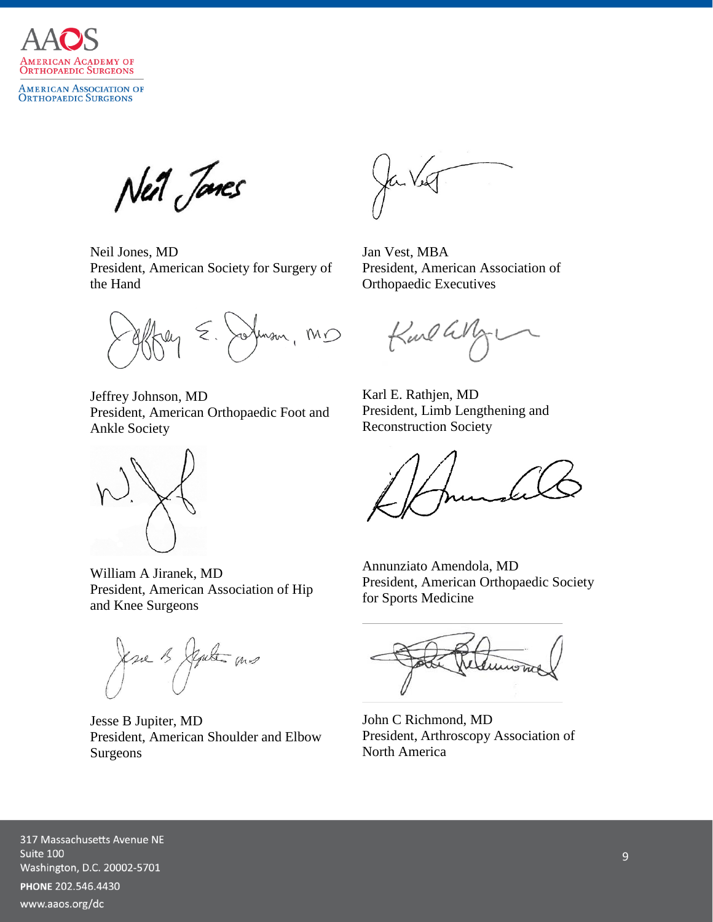

AMERICAN ASSOCIATION OF<br>Orthopaedic Surgeons

Neil Janes

Neil Jones, MD President, American Society for Surgery of the Hand

Mm , MD  $\zeta$  .

Jeffrey Johnson, MD President, American Orthopaedic Foot and Ankle Society



William A Jiranek, MD President, American Association of Hip and Knee Surgeons

ksee 13 September 100

Jesse B Jupiter, MD President, American Shoulder and Elbow Surgeons

Jan Vest, MBA President, American Association of Orthopaedic Executives

Karl G

Karl E. Rathjen, MD President, Limb Lengthening and Reconstruction Society

Annunziato Amendola, MD President, American Orthopaedic Society for Sports Medicine

John C Richmond, MD President, Arthroscopy Association of North America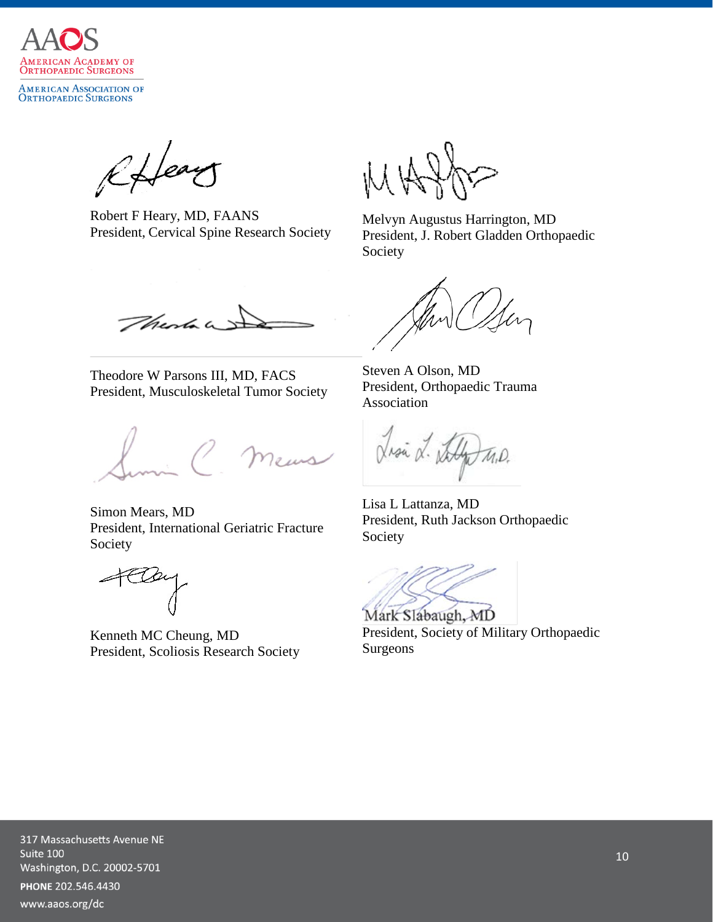

AMERICAN ASSOCIATION OF<br>Orthopaedic Surgeons

Rffear

Robert F Heary, MD, FAANS President, Cervical Spine Research Society

Melvyn Augustus Harrington, MD President, J. Robert Gladden Orthopaedic Society

There

Theodore W Parsons III, MD, FACS President, Musculoskeletal Tumor Society

meus

Simon Mears, MD President, International Geriatric Fracture Society

Kenneth MC Cheung, MD President, Scoliosis Research Society

Steven A Olson, MD President, Orthopaedic Trauma Association

Lisa L. Staly M.D.

Lisa L Lattanza, MD President, Ruth Jackson Orthopaedic Society

Mark Slabaugh, MD

President, Society of Military Orthopaedic Surgeons